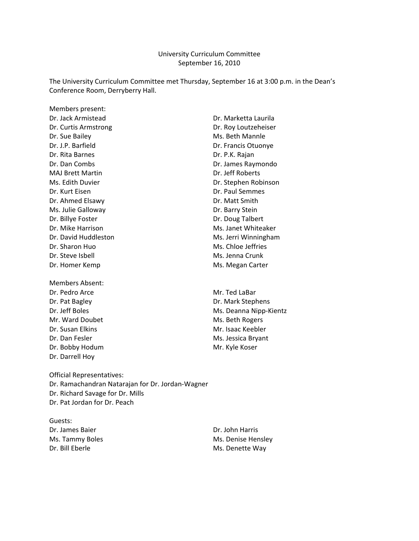#### University Curriculum Committee September 16, 2010

The University Curriculum Committee met Thursday, September 16 at 3:00 p.m. in the Dean's Conference Room, Derryberry Hall.

Members present: Dr. Jack Armistead **Dr. Marketta Laurila** Dr. Curtis Armstrong **Dr. Curtis Armstrong** Dr. Sue Bailey **Ms. Beth Mannle** Dr. J.P. Barfield Dr. Francis Otuonye Dr. Rita Barnes Dr. P.K. Rajan Dr. Dan Combs Dr. James Raymondo MAJ Brett Martin Dr. Jeff Roberts Dr. Kurt Eisen Dr. Paul Semmes Dr. Ahmed Elsawy Dr. Matt Smith Ms. Julie Galloway Dr. Barry Stein Dr. Billye Foster **Dr. Doug Talbert** Dr. Mike Harrison Ms. Janet Whiteaker Dr. Sharon Huo **Ms. Chloe Jeffries** Dr. Steve Isbell Ms. Jenna Crunk Dr. Homer Kemp Ms. Megan Carter

Members Absent: Dr. Pedro Arce **Mr. Ted LaBar** Dr. Pat Bagley Dr. Mark Stephens Mr. Ward Doubet Mr. Ward Doubet Dr. Susan Elkins Mr. Isaac Keebler Dr. Dan Fesler Ms. Jessica Bryant Dr. Bobby Hodum Mr. Kyle Koser Dr. Darrell Hoy

Ms. Edith Duvier **Dr. Stephen Robinson** Dr. David Huddleston Ms. Jerri Winningham

Dr. Jeff Boles Ms. Deanna Nipp-Kientz

Official Representatives: Dr. Ramachandran Natarajan for Dr. Jordan‐Wagner Dr. Richard Savage for Dr. Mills Dr. Pat Jordan for Dr. Peach

Guests: Dr. James Baier Dr. John Harris Dr. Bill Eberle May and Ms. Denette Way

Ms. Tammy Boles Ms. Denise Hensley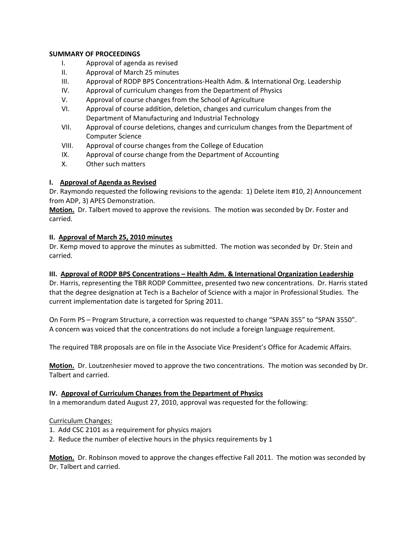### **SUMMARY OF PROCEEDINGS**

- I. Approval of agenda as revised
- II. Approval of March 25 minutes
- III. Approval of RODP BPS Concentrations‐Health Adm. & International Org. Leadership
- IV. Approval of curriculum changes from the Department of Physics
- V. Approval of course changes from the School of Agriculture
- VI. Approval of course addition, deletion, changes and curriculum changes from the Department of Manufacturing and Industrial Technology
- VII. Approval of course deletions, changes and curriculum changes from the Department of Computer Science
- VIII. Approval of course changes from the College of Education
- IX. Approval of course change from the Department of Accounting
- X. Other such matters

# **I. Approval of Agenda as Revised**

Dr. Raymondo requested the following revisions to the agenda: 1) Delete item #10, 2) Announcement from ADP, 3) APES Demonstration.

**Motion.** Dr. Talbert moved to approve the revisions. The motion was seconded by Dr. Foster and carried.

### **II. Approval of March 25, 2010 minutes**

Dr. Kemp moved to approve the minutes as submitted. The motion was seconded by Dr. Stein and carried.

### **III. Approval of RODP BPS Concentrations – Health Adm. & International Organization Leadership**

Dr. Harris, representing the TBR RODP Committee, presented two new concentrations. Dr. Harris stated that the degree designation at Tech is a Bachelor of Science with a major in Professional Studies. The current implementation date is targeted for Spring 2011.

On Form PS – Program Structure, a correction was requested to change "SPAN 355" to "SPAN 3550". A concern was voiced that the concentrations do not include a foreign language requirement.

The required TBR proposals are on file in the Associate Vice President's Office for Academic Affairs.

**Motion.** Dr. Loutzenhesier moved to approve the two concentrations. The motion was seconded by Dr. Talbert and carried.

### **IV. Approval of Curriculum Changes from the Department of Physics**

In a memorandum dated August 27, 2010, approval was requested for the following:

### Curriculum Changes:

- 1. Add CSC 2101 as a requirement for physics majors
- 2. Reduce the number of elective hours in the physics requirements by 1

**Motion.** Dr. Robinson moved to approve the changes effective Fall 2011. The motion was seconded by Dr. Talbert and carried.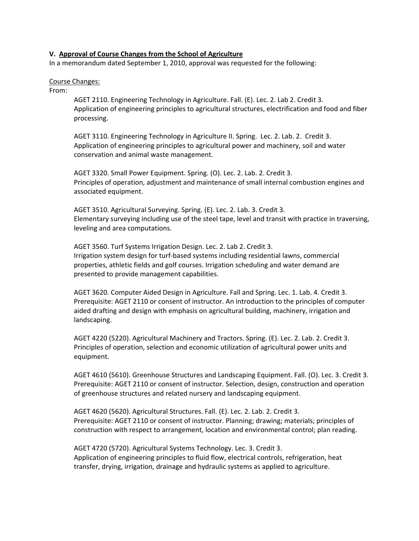#### **V. Approval of Course Changes from the School of Agriculture**

In a memorandum dated September 1, 2010, approval was requested for the following:

#### Course Changes:

From:

AGET 2110. Engineering Technology in Agriculture. Fall. (E). Lec. 2. Lab 2. Credit 3. Application of engineering principles to agricultural structures, electrification and food and fiber processing.

AGET 3110. Engineering Technology in Agriculture II. Spring. Lec. 2. Lab. 2. Credit 3. Application of engineering principles to agricultural power and machinery, soil and water conservation and animal waste management.

AGET 3320. Small Power Equipment. Spring. (O). Lec. 2. Lab. 2. Credit 3. Principles of operation, adjustment and maintenance of small internal combustion engines and associated equipment.

AGET 3510. Agricultural Surveying. Spring. (E). Lec. 2. Lab. 3. Credit 3. Elementary surveying including use of the steel tape, level and transit with practice in traversing, leveling and area computations.

AGET 3560. Turf Systems Irrigation Design. Lec. 2. Lab 2. Credit 3. Irrigation system design for turf‐based systems including residential lawns, commercial properties, athletic fields and golf courses. Irrigation scheduling and water demand are presented to provide management capabilities.

AGET 3620. Computer Aided Design in Agriculture. Fall and Spring. Lec. 1. Lab. 4. Credit 3. Prerequisite: AGET 2110 or consent of instructor. An introduction to the principles of computer aided drafting and design with emphasis on agricultural building, machinery, irrigation and landscaping.

AGET 4220 (5220). Agricultural Machinery and Tractors. Spring. (E). Lec. 2. Lab. 2. Credit 3. Principles of operation, selection and economic utilization of agricultural power units and equipment.

AGET 4610 (5610). Greenhouse Structures and Landscaping Equipment. Fall. (O). Lec. 3. Credit 3. Prerequisite: AGET 2110 or consent of instructor. Selection, design, construction and operation of greenhouse structures and related nursery and landscaping equipment.

AGET 4620 (5620). Agricultural Structures. Fall. (E). Lec. 2. Lab. 2. Credit 3. Prerequisite: AGET 2110 or consent of instructor. Planning; drawing; materials; principles of construction with respect to arrangement, location and environmental control; plan reading.

AGET 4720 (5720). Agricultural Systems Technology. Lec. 3. Credit 3. Application of engineering principles to fluid flow, electrical controls, refrigeration, heat transfer, drying, irrigation, drainage and hydraulic systems as applied to agriculture.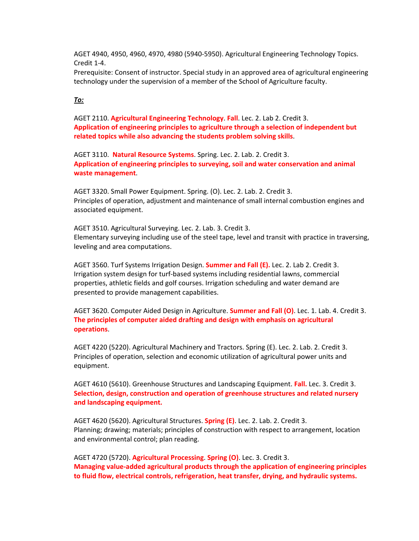AGET 4940, 4950, 4960, 4970, 4980 (5940‐5950). Agricultural Engineering Technology Topics. Credit 1‐4.

Prerequisite: Consent of instructor. Special study in an approved area of agricultural engineering technology under the supervision of a member of the School of Agriculture faculty.

### *To:*

AGET 2110. **Agricultural Engineering Technology**. **Fall**. Lec. 2. Lab 2. Credit 3. **Application of engineering principles to agriculture through a selection of independent but related topics while also advancing the students problem solving skills**.

AGET 3110. **Natural Resource Systems**. Spring. Lec. 2. Lab. 2. Credit 3. **Application of engineering principles to surveying, soil and water conservation and animal waste management**.

AGET 3320. Small Power Equipment. Spring. (O). Lec. 2. Lab. 2. Credit 3. Principles of operation, adjustment and maintenance of small internal combustion engines and associated equipment.

AGET 3510. Agricultural Surveying. Lec. 2. Lab. 3. Credit 3. Elementary surveying including use of the steel tape, level and transit with practice in traversing, leveling and area computations.

AGET 3560. Turf Systems Irrigation Design. **Summer and Fall (E).** Lec. 2. Lab 2. Credit 3. Irrigation system design for turf‐based systems including residential lawns, commercial properties, athletic fields and golf courses. Irrigation scheduling and water demand are presented to provide management capabilities.

AGET 3620. Computer Aided Design in Agriculture. **Summer and Fall (O)**. Lec. 1. Lab. 4. Credit 3. **The principles of computer aided drafting and design with emphasis on agricultural operations**.

AGET 4220 (5220). Agricultural Machinery and Tractors. Spring (E). Lec. 2. Lab. 2. Credit 3. Principles of operation, selection and economic utilization of agricultural power units and equipment.

AGET 4610 (5610). Greenhouse Structures and Landscaping Equipment. **Fall.** Lec. 3. Credit 3. **Selection, design, construction and operation of greenhouse structures and related nursery and landscaping equipment.**

AGET 4620 (5620). Agricultural Structures. **Spring (E)**. Lec. 2. Lab. 2. Credit 3. Planning; drawing; materials; principles of construction with respect to arrangement, location and environmental control; plan reading.

AGET 4720 (5720). **Agricultural Processing**. **Spring (O)**. Lec. 3. Credit 3. **Managing value‐added agricultural products through the application of engineering principles to fluid flow, electrical controls, refrigeration, heat transfer, drying, and hydraulic systems.**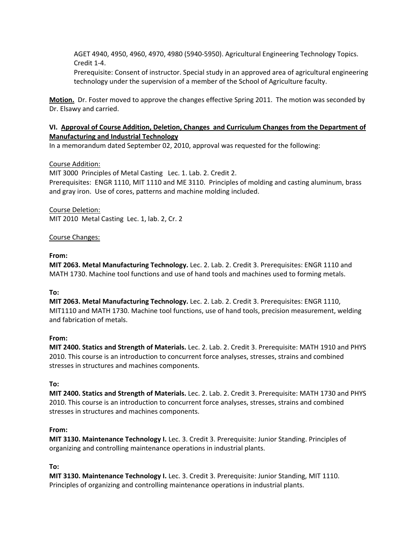AGET 4940, 4950, 4960, 4970, 4980 (5940‐5950). Agricultural Engineering Technology Topics. Credit 1‐4.

Prerequisite: Consent of instructor. Special study in an approved area of agricultural engineering technology under the supervision of a member of the School of Agriculture faculty.

**Motion.** Dr. Foster moved to approve the changes effective Spring 2011. The motion was seconded by Dr. Elsawy and carried.

# **VI. Approval of Course Addition, Deletion, Changes and Curriculum Changes from the Department of Manufacturing and Industrial Technology**

In a memorandum dated September 02, 2010, approval was requested for the following:

# Course Addition:

MIT 3000 Principles of Metal Casting Lec. 1. Lab. 2. Credit 2. Prerequisites: ENGR 1110, MIT 1110 and ME 3110. Principles of molding and casting aluminum, brass and gray iron. Use of cores, patterns and machine molding included.

Course Deletion: MIT 2010 Metal Casting Lec. 1, lab. 2, Cr. 2

# Course Changes:

# **From:**

**MIT 2063. Metal Manufacturing Technology.** Lec. 2. Lab. 2. Credit 3. Prerequisites: ENGR 1110 and MATH 1730. Machine tool functions and use of hand tools and machines used to forming metals.

# **To:**

**MIT 2063. Metal Manufacturing Technology.** Lec. 2. Lab. 2. Credit 3. Prerequisites: ENGR 1110, MIT1110 and MATH 1730. Machine tool functions, use of hand tools, precision measurement, welding and fabrication of metals.

### **From:**

**MIT 2400. Statics and Strength of Materials.** Lec. 2. Lab. 2. Credit 3. Prerequisite: MATH 1910 and PHYS 2010. This course is an introduction to concurrent force analyses, stresses, strains and combined stresses in structures and machines components.

### **To:**

**MIT 2400. Statics and Strength of Materials.** Lec. 2. Lab. 2. Credit 3. Prerequisite: MATH 1730 and PHYS 2010. This course is an introduction to concurrent force analyses, stresses, strains and combined stresses in structures and machines components.

### **From:**

**MIT 3130. Maintenance Technology I.** Lec. 3. Credit 3. Prerequisite: Junior Standing. Principles of organizing and controlling maintenance operations in industrial plants.

### **To:**

**MIT 3130. Maintenance Technology I.** Lec. 3. Credit 3. Prerequisite: Junior Standing, MIT 1110. Principles of organizing and controlling maintenance operations in industrial plants.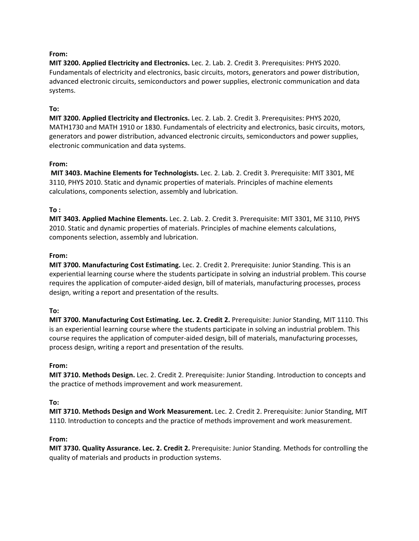# **From:**

**MIT 3200. Applied Electricity and Electronics.** Lec. 2. Lab. 2. Credit 3. Prerequisites: PHYS 2020. Fundamentals of electricity and electronics, basic circuits, motors, generators and power distribution, advanced electronic circuits, semiconductors and power supplies, electronic communication and data systems.

## **To:**

**MIT 3200. Applied Electricity and Electronics.** Lec. 2. Lab. 2. Credit 3. Prerequisites: PHYS 2020, MATH1730 and MATH 1910 or 1830. Fundamentals of electricity and electronics, basic circuits, motors, generators and power distribution, advanced electronic circuits, semiconductors and power supplies, electronic communication and data systems.

### **From:**

**MIT 3403. Machine Elements for Technologists.** Lec. 2. Lab. 2. Credit 3. Prerequisite: MIT 3301, ME 3110, PHYS 2010. Static and dynamic properties of materials. Principles of machine elements calculations, components selection, assembly and lubrication.

# **To :**

**MIT 3403. Applied Machine Elements.** Lec. 2. Lab. 2. Credit 3. Prerequisite: MIT 3301, ME 3110, PHYS 2010. Static and dynamic properties of materials. Principles of machine elements calculations, components selection, assembly and lubrication.

### **From:**

**MIT 3700. Manufacturing Cost Estimating.** Lec. 2. Credit 2. Prerequisite: Junior Standing. This is an experiential learning course where the students participate in solving an industrial problem. This course requires the application of computer‐aided design, bill of materials, manufacturing processes, process design, writing a report and presentation of the results.

### **To:**

**MIT 3700. Manufacturing Cost Estimating. Lec. 2. Credit 2.** Prerequisite: Junior Standing, MIT 1110. This is an experiential learning course where the students participate in solving an industrial problem. This course requires the application of computer‐aided design, bill of materials, manufacturing processes, process design, writing a report and presentation of the results.

### **From:**

**MIT 3710. Methods Design.** Lec. 2. Credit 2. Prerequisite: Junior Standing. Introduction to concepts and the practice of methods improvement and work measurement.

### **To:**

**MIT 3710. Methods Design and Work Measurement.** Lec. 2. Credit 2. Prerequisite: Junior Standing, MIT 1110. Introduction to concepts and the practice of methods improvement and work measurement.

### **From:**

**MIT 3730. Quality Assurance. Lec. 2. Credit 2.** Prerequisite: Junior Standing. Methods for controlling the quality of materials and products in production systems.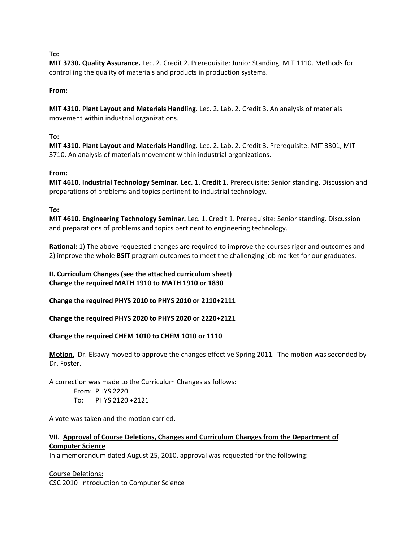### **To:**

**MIT 3730. Quality Assurance.** Lec. 2. Credit 2. Prerequisite: Junior Standing, MIT 1110. Methods for controlling the quality of materials and products in production systems.

# **From:**

**MIT 4310. Plant Layout and Materials Handling.** Lec. 2. Lab. 2. Credit 3. An analysis of materials movement within industrial organizations.

# **To:**

**MIT 4310. Plant Layout and Materials Handling.** Lec. 2. Lab. 2. Credit 3. Prerequisite: MIT 3301, MIT 3710. An analysis of materials movement within industrial organizations.

# **From:**

**MIT 4610. Industrial Technology Seminar. Lec. 1. Credit 1.** Prerequisite: Senior standing. Discussion and preparations of problems and topics pertinent to industrial technology.

# **To:**

**MIT 4610. Engineering Technology Seminar.** Lec. 1. Credit 1. Prerequisite: Senior standing. Discussion and preparations of problems and topics pertinent to engineering technology.

**Rational:** 1) The above requested changes are required to improve the courses rigor and outcomes and 2) improve the whole **BSIT** program outcomes to meet the challenging job market for our graduates.

**II. Curriculum Changes (see the attached curriculum sheet) Change the required MATH 1910 to MATH 1910 or 1830**

**Change the required PHYS 2010 to PHYS 2010 or 2110+2111**

**Change the required PHYS 2020 to PHYS 2020 or 2220+2121**

**Change the required CHEM 1010 to CHEM 1010 or 1110**

**Motion.** Dr. Elsawy moved to approve the changes effective Spring 2011. The motion was seconded by Dr. Foster.

A correction was made to the Curriculum Changes as follows:

From: PHYS 2220

To: PHYS 2120 +2121

A vote was taken and the motion carried.

# **VII. Approval of Course Deletions, Changes and Curriculum Changes from the Department of Computer Science**

In a memorandum dated August 25, 2010, approval was requested for the following:

Course Deletions:

CSC 2010 Introduction to Computer Science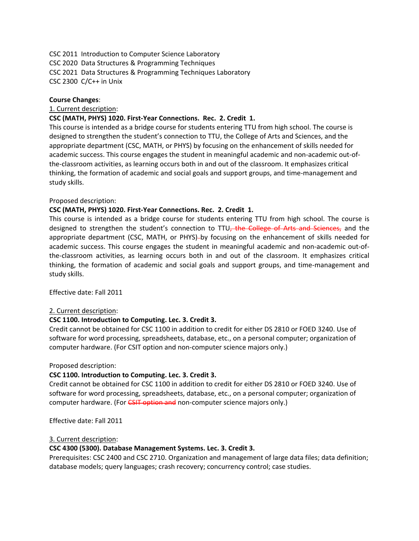CSC 2011 Introduction to Computer Science Laboratory CSC 2020 Data Structures & Programming Techniques CSC 2021 Data Structures & Programming Techniques Laboratory CSC 2300 C/C++ in Unix

### **Course Changes**:

### 1. Current description:

### **CSC (MATH, PHYS) 1020. First‐Year Connections. Rec. 2. Credit 1.**

This course is intended as a bridge course for students entering TTU from high school. The course is designed to strengthen the student's connection to TTU, the College of Arts and Sciences, and the appropriate department (CSC, MATH, or PHYS) by focusing on the enhancement of skills needed for academic success. This course engages the student in meaningful academic and non‐academic out‐of‐ the‐classroom activities, as learning occurs both in and out of the classroom. It emphasizes critical thinking, the formation of academic and social goals and support groups, and time‐management and study skills.

### Proposed description:

### **CSC (MATH, PHYS) 1020. First‐Year Connections. Rec. 2. Credit 1.**

This course is intended as a bridge course for students entering TTU from high school. The course is designed to strengthen the student's connection to TTU, the College of Arts and Sciences, and the appropriate department (CSC, MATH, or PHYS)-by focusing on the enhancement of skills needed for academic success. This course engages the student in meaningful academic and non‐academic out‐of‐ the‐classroom activities, as learning occurs both in and out of the classroom. It emphasizes critical thinking, the formation of academic and social goals and support groups, and time‐management and study skills.

Effective date: Fall 2011

#### 2. Current description:

### **CSC 1100. Introduction to Computing. Lec. 3. Credit 3.**

Credit cannot be obtained for CSC 1100 in addition to credit for either DS 2810 or FOED 3240. Use of software for word processing, spreadsheets, database, etc., on a personal computer; organization of computer hardware. (For CSIT option and non‐computer science majors only.)

#### Proposed description:

### **CSC 1100. Introduction to Computing. Lec. 3. Credit 3.**

Credit cannot be obtained for CSC 1100 in addition to credit for either DS 2810 or FOED 3240. Use of software for word processing, spreadsheets, database, etc., on a personal computer; organization of computer hardware. (For CSIT option and non-computer science majors only.)

Effective date: Fall 2011

#### 3. Current description:

#### **CSC 4300 (5300). Database Management Systems. Lec. 3. Credit 3.**

Prerequisites: CSC 2400 and CSC 2710. Organization and management of large data files; data definition; database models; query languages; crash recovery; concurrency control; case studies.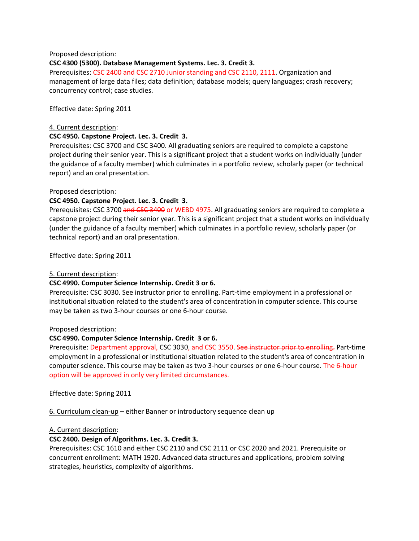Proposed description:

### **CSC 4300 (5300). Database Management Systems. Lec. 3. Credit 3.**

Prerequisites: CSC 2400 and CSC 2710 Junior standing and CSC 2110, 2111. Organization and management of large data files; data definition; database models; query languages; crash recovery; concurrency control; case studies.

Effective date: Spring 2011

### 4. Current description:

### **CSC 4950. Capstone Project. Lec. 3. Credit 3.**

Prerequisites: CSC 3700 and CSC 3400. All graduating seniors are required to complete a capstone project during their senior year. This is a significant project that a student works on individually (under the guidance of a faculty member) which culminates in a portfolio review, scholarly paper (or technical report) and an oral presentation.

### Proposed description:

### **CSC 4950. Capstone Project. Lec. 3. Credit 3.**

Prerequisites: CSC 3700 and CSC 3400 or WEBD 4975. All graduating seniors are required to complete a capstone project during their senior year. This is a significant project that a student works on individually (under the guidance of a faculty member) which culminates in a portfolio review, scholarly paper (or technical report) and an oral presentation.

Effective date: Spring 2011

### 5. Current description:

### **CSC 4990. Computer Science Internship. Credit 3 or 6.**

Prerequisite: CSC 3030. See instructor prior to enrolling. Part-time employment in a professional or institutional situation related to the student's area of concentration in computer science. This course may be taken as two 3‐hour courses or one 6‐hour course.

#### Proposed description:

#### **CSC 4990. Computer Science Internship. Credit 3 or 6.**

Prerequisite: Department approval, CSC 3030, and CSC 3550. See instructor prior to enrolling. Part-time employment in a professional or institutional situation related to the student's area of concentration in computer science. This course may be taken as two 3‐hour courses or one 6‐hour course. The 6‐hour option will be approved in only very limited circumstances.

Effective date: Spring 2011

6. Curriculum clean‐up – either Banner or introductory sequence clean up

#### A. Current description:

### **CSC 2400. Design of Algorithms. Lec. 3. Credit 3.**

Prerequisites: CSC 1610 and either CSC 2110 and CSC 2111 or CSC 2020 and 2021. Prerequisite or concurrent enrollment: MATH 1920. Advanced data structures and applications, problem solving strategies, heuristics, complexity of algorithms.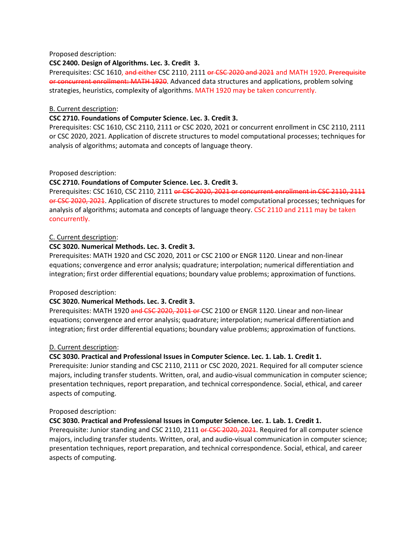### Proposed description:

### **CSC 2400. Design of Algorithms. Lec. 3. Credit 3.**

Prerequisites: CSC 1610, and either CSC 2110, 2111 or CSC 2020 and 2021 and MATH 1920. Prerequisite or concurrent enrollment: MATH 1920. Advanced data structures and applications, problem solving strategies, heuristics, complexity of algorithms. MATH 1920 may be taken concurrently.

#### B. Current description:

### **CSC 2710. Foundations of Computer Science. Lec. 3. Credit 3.**

Prerequisites: CSC 1610, CSC 2110, 2111 or CSC 2020, 2021 or concurrent enrollment in CSC 2110, 2111 or CSC 2020, 2021. Application of discrete structures to model computational processes; techniques for analysis of algorithms; automata and concepts of language theory.

Proposed description:

### **CSC 2710. Foundations of Computer Science. Lec. 3. Credit 3.**

Prerequisites: CSC 1610, CSC 2110, 2111 or CSC 2020, 2021 or concurrent enrollment in CSC 2110, 2111 or CSC 2020, 2021. Application of discrete structures to model computational processes; techniques for analysis of algorithms; automata and concepts of language theory. CSC 2110 and 2111 may be taken concurrently.

### C. Current description:

### **CSC 3020. Numerical Methods. Lec. 3. Credit 3.**

Prerequisites: MATH 1920 and CSC 2020, 2011 or CSC 2100 or ENGR 1120. Linear and non‐linear equations; convergence and error analysis; quadrature; interpolation; numerical differentiation and integration; first order differential equations; boundary value problems; approximation of functions.

#### Proposed description:

### **CSC 3020. Numerical Methods. Lec. 3. Credit 3.**

Prerequisites: MATH 1920 and CSC 2020, 2011 or CSC 2100 or ENGR 1120. Linear and non-linear equations; convergence and error analysis; quadrature; interpolation; numerical differentiation and integration; first order differential equations; boundary value problems; approximation of functions.

#### D. Current description:

### **CSC 3030. Practical and Professional Issues in Computer Science. Lec. 1. Lab. 1. Credit 1.**

Prerequisite: Junior standing and CSC 2110, 2111 or CSC 2020, 2021. Required for all computer science majors, including transfer students. Written, oral, and audio‐visual communication in computer science; presentation techniques, report preparation, and technical correspondence. Social, ethical, and career aspects of computing.

#### Proposed description:

### **CSC 3030. Practical and Professional Issues in Computer Science. Lec. 1. Lab. 1. Credit 1.**

Prerequisite: Junior standing and CSC 2110, 2111 or CSC 2020, 2021. Required for all computer science majors, including transfer students. Written, oral, and audio‐visual communication in computer science; presentation techniques, report preparation, and technical correspondence. Social, ethical, and career aspects of computing.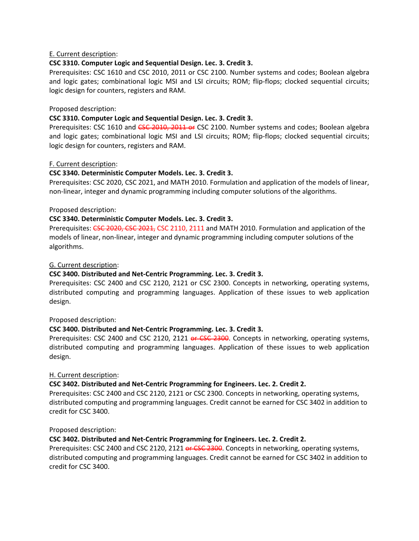## E. Current description:

# **CSC 3310. Computer Logic and Sequential Design. Lec. 3. Credit 3.**

Prerequisites: CSC 1610 and CSC 2010, 2011 or CSC 2100. Number systems and codes; Boolean algebra and logic gates; combinational logic MSI and LSI circuits; ROM; flip-flops; clocked sequential circuits; logic design for counters, registers and RAM.

### Proposed description:

# **CSC 3310. Computer Logic and Sequential Design. Lec. 3. Credit 3.**

Prerequisites: CSC 1610 and CSC 2010, 2011 or CSC 2100. Number systems and codes; Boolean algebra and logic gates; combinational logic MSI and LSI circuits; ROM; flip-flops; clocked sequential circuits; logic design for counters, registers and RAM.

### F. Current description:

### **CSC 3340. Deterministic Computer Models. Lec. 3. Credit 3.**

Prerequisites: CSC 2020, CSC 2021, and MATH 2010. Formulation and application of the models of linear, non‐linear, integer and dynamic programming including computer solutions of the algorithms.

### Proposed description:

### **CSC 3340. Deterministic Computer Models. Lec. 3. Credit 3.**

Prerequisites: CSC 2020, CSC 2021, CSC 2110, 2111 and MATH 2010. Formulation and application of the models of linear, non‐linear, integer and dynamic programming including computer solutions of the algorithms.

### G. Current description:

### **CSC 3400. Distributed and Net‐Centric Programming. Lec. 3. Credit 3.**

Prerequisites: CSC 2400 and CSC 2120, 2121 or CSC 2300. Concepts in networking, operating systems, distributed computing and programming languages. Application of these issues to web application design.

### Proposed description:

### **CSC 3400. Distributed and Net‐Centric Programming. Lec. 3. Credit 3.**

Prerequisites: CSC 2400 and CSC 2120, 2121 or CSC 2300. Concepts in networking, operating systems, distributed computing and programming languages. Application of these issues to web application design.

### H. Current description:

### **CSC 3402. Distributed and Net‐Centric Programming for Engineers. Lec. 2. Credit 2.**

Prerequisites: CSC 2400 and CSC 2120, 2121 or CSC 2300. Concepts in networking, operating systems, distributed computing and programming languages. Credit cannot be earned for CSC 3402 in addition to credit for CSC 3400.

Proposed description:

### **CSC 3402. Distributed and Net‐Centric Programming for Engineers. Lec. 2. Credit 2.**

Prerequisites: CSC 2400 and CSC 2120, 2121 or CSC 2300. Concepts in networking, operating systems, distributed computing and programming languages. Credit cannot be earned for CSC 3402 in addition to credit for CSC 3400.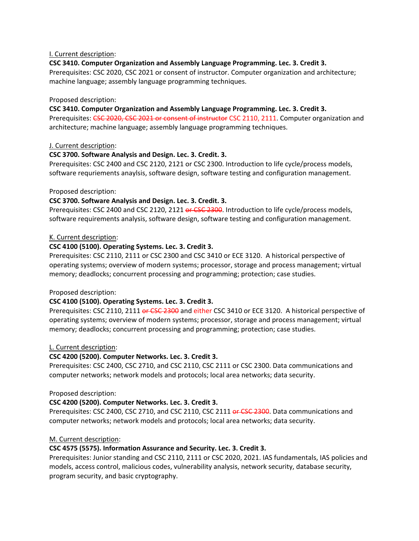### I. Current description:

### **CSC 3410. Computer Organization and Assembly Language Programming. Lec. 3. Credit 3.**

Prerequisites: CSC 2020, CSC 2021 or consent of instructor. Computer organization and architecture; machine language; assembly language programming techniques.

#### Proposed description:

#### **CSC 3410. Computer Organization and Assembly Language Programming. Lec. 3. Credit 3.**

Prerequisites: CSC 2020, CSC 2021 or consent of instructor CSC 2110, 2111. Computer organization and architecture; machine language; assembly language programming techniques.

### J. Current description:

### **CSC 3700. Software Analysis and Design. Lec. 3. Credit. 3.**

Prerequisites: CSC 2400 and CSC 2120, 2121 or CSC 2300. Introduction to life cycle/process models, software requriements anaylsis, software design, software testing and configuration management.

### Proposed description:

### **CSC 3700. Software Analysis and Design. Lec. 3. Credit. 3.**

Prerequisites: CSC 2400 and CSC 2120, 2121 or CSC 2300. Introduction to life cycle/process models, software requirements analysis, software design, software testing and configuration management.

### K. Current description:

### **CSC 4100 (5100). Operating Systems. Lec. 3. Credit 3.**

Prerequisites: CSC 2110, 2111 or CSC 2300 and CSC 3410 or ECE 3120. A historical perspective of operating systems; overview of modern systems; processor, storage and process management; virtual memory; deadlocks; concurrent processing and programming; protection; case studies.

#### Proposed description:

### **CSC 4100 (5100). Operating Systems. Lec. 3. Credit 3.**

Prerequisites: CSC 2110, 2111 or CSC 2300 and either CSC 3410 or ECE 3120. A historical perspective of operating systems; overview of modern systems; processor, storage and process management; virtual memory; deadlocks; concurrent processing and programming; protection; case studies.

### L. Current description:

### **CSC 4200 (5200). Computer Networks. Lec. 3. Credit 3.**

Prerequisites: CSC 2400, CSC 2710, and CSC 2110, CSC 2111 or CSC 2300. Data communications and computer networks; network models and protocols; local area networks; data security.

#### Proposed description:

#### **CSC 4200 (5200). Computer Networks. Lec. 3. Credit 3.**

Prerequisites: CSC 2400, CSC 2710, and CSC 2110, CSC 2111 or CSC 2300. Data communications and computer networks; network models and protocols; local area networks; data security.

### M. Current description:

### **CSC 4575 (5575). Information Assurance and Security. Lec. 3. Credit 3.**

Prerequisites: Junior standing and CSC 2110, 2111 or CSC 2020, 2021. IAS fundamentals, IAS policies and models, access control, malicious codes, vulnerability analysis, network security, database security, program security, and basic cryptography.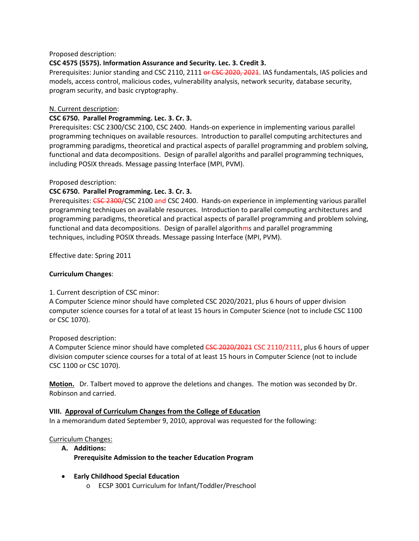### Proposed description:

# **CSC 4575 (5575). Information Assurance and Security. Lec. 3. Credit 3.**

Prerequisites: Junior standing and CSC 2110, 2111 or CSC 2020, 2021. IAS fundamentals, IAS policies and models, access control, malicious codes, vulnerability analysis, network security, database security, program security, and basic cryptography.

## N. Current description:

### **CSC 6750. Parallel Programming. Lec. 3. Cr. 3.**

Prerequisites: CSC 2300/CSC 2100, CSC 2400. Hands‐on experience in implementing various parallel programming techniques on available resources. Introduction to parallel computing architectures and programming paradigms, theoretical and practical aspects of parallel programming and problem solving, functional and data decompositions. Design of parallel algoriths and parallel programming techniques, including POSIX threads. Message passing Interface (MPI, PVM).

# Proposed description:

# **CSC 6750. Parallel Programming. Lec. 3. Cr. 3.**

Prerequisites: CSC 2300/CSC 2100 and CSC 2400. Hands-on experience in implementing various parallel programming techniques on available resources. Introduction to parallel computing architectures and programming paradigms, theoretical and practical aspects of parallel programming and problem solving, functional and data decompositions. Design of parallel algorithms and parallel programming techniques, including POSIX threads. Message passing Interface (MPI, PVM).

Effective date: Spring 2011

## **Curriculum Changes**:

### 1. Current description of CSC minor:

A Computer Science minor should have completed CSC 2020/2021, plus 6 hours of upper division computer science courses for a total of at least 15 hours in Computer Science (not to include CSC 1100 or CSC 1070).

### Proposed description:

A Computer Science minor should have completed <del>CSC 2020/2021</del> CSC 2110/2111, plus 6 hours of upper division computer science courses for a total of at least 15 hours in Computer Science (not to include CSC 1100 or CSC 1070).

**Motion.** Dr. Talbert moved to approve the deletions and changes. The motion was seconded by Dr. Robinson and carried.

### **VIII. Approval of Curriculum Changes from the College of Education**

In a memorandum dated September 9, 2010, approval was requested for the following:

### Curriculum Changes:

- **A. Additions: Prerequisite Admission to the teacher Education Program**
- **Early Childhood Special Education**
	- o ECSP 3001 Curriculum for Infant/Toddler/Preschool